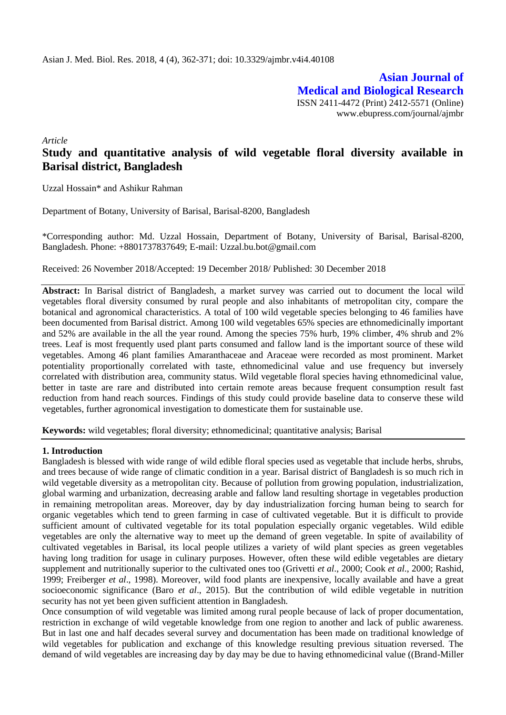**Asian Journal of Medical and Biological Research** ISSN 2411-4472 (Print) 2412-5571 (Online) www.ebupress.com/journal/ajmbr

*Article*

# **Study and quantitative analysis of wild vegetable floral diversity available in Barisal district, Bangladesh**

Uzzal Hossain\* and Ashikur Rahman

Department of Botany, University of Barisal, Barisal-8200, Bangladesh

\*Corresponding author: Md. Uzzal Hossain, Department of Botany, University of Barisal, Barisal-8200, Bangladesh. Phone: +8801737837649; E-mail: Uzzal.bu.bot@gmail.com

Received: 26 November 2018/Accepted: 19 December 2018/ Published: 30 December 2018

**Abstract:** In Barisal district of Bangladesh, a market survey was carried out to document the local wild vegetables floral diversity consumed by rural people and also inhabitants of metropolitan city, compare the botanical and agronomical characteristics. A total of 100 wild vegetable species belonging to 46 families have been documented from Barisal district. Among 100 wild vegetables 65% species are ethnomedicinally important and 52% are available in the all the year round. Among the species 75% hurb, 19% climber, 4% shrub and 2% trees. Leaf is most frequently used plant parts consumed and fallow land is the important source of these wild vegetables. Among 46 plant families Amaranthaceae and Araceae were recorded as most prominent. Market potentiality proportionally correlated with taste, ethnomedicinal value and use frequency but inversely correlated with distribution area, community status. Wild vegetable floral species having ethnomedicinal value, better in taste are rare and distributed into certain remote areas because frequent consumption result fast reduction from hand reach sources. Findings of this study could provide baseline data to conserve these wild vegetables, further agronomical investigation to domesticate them for sustainable use.

**Keywords:** wild vegetables; floral diversity; ethnomedicinal; quantitative analysis; Barisal

## **1. Introduction**

Bangladesh is blessed with wide range of wild edible floral species used as vegetable that include herbs, shrubs, and trees because of wide range of climatic condition in a year. Barisal district of Bangladesh is so much rich in wild vegetable diversity as a metropolitan city. Because of pollution from growing population, industrialization, global warming and urbanization, decreasing arable and fallow land resulting shortage in vegetables production in remaining metropolitan areas. Moreover, day by day industrialization forcing human being to search for organic vegetables which tend to green farming in case of cultivated vegetable. But it is difficult to provide sufficient amount of cultivated vegetable for its total population especially organic vegetables. Wild edible vegetables are only the alternative way to meet up the demand of green vegetable. In spite of availability of cultivated vegetables in Barisal, its local people utilizes a variety of wild plant species as green vegetables having long tradition for usage in culinary purposes. However, often these wild edible vegetables are dietary supplement and nutritionally superior to the cultivated ones too (Grivetti *et al*., 2000; Cook *et al*., 2000; Rashid, 1999; Freiberger *et al*., 1998). Moreover, wild food plants are inexpensive, locally available and have a great socioeconomic significance (Baro *et al*., 2015). But the contribution of wild edible vegetable in nutrition security has not yet been given sufficient attention in Bangladesh.

Once consumption of wild vegetable was limited among rural people because of lack of proper documentation, restriction in exchange of wild vegetable knowledge from one region to another and lack of public awareness. But in last one and half decades several survey and documentation has been made on traditional knowledge of wild vegetables for publication and exchange of this knowledge resulting previous situation reversed. The demand of wild vegetables are increasing day by day may be due to having ethnomedicinal value ((Brand-Miller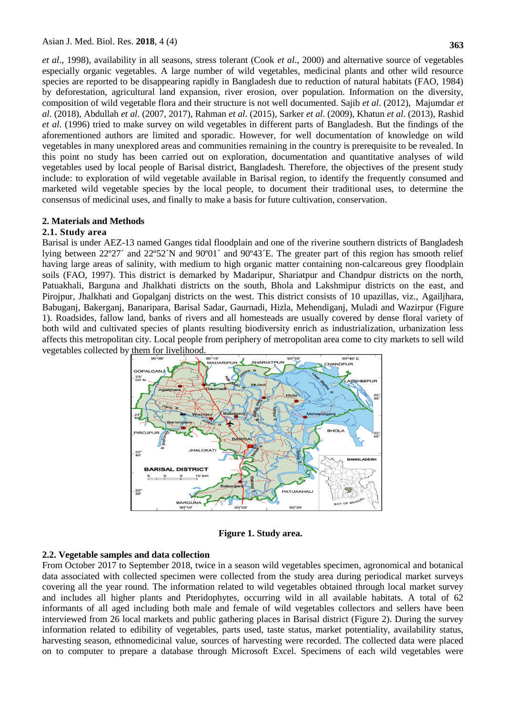*et al*., 1998), availability in all seasons, stress tolerant (Cook *et al*., 2000) and alternative source of vegetables especially organic vegetables. A large number of wild vegetables, medicinal plants and other wild resource

species are reported to be disappearing rapidly in Bangladesh due to reduction of natural habitats (FAO, 1984) by deforestation, agricultural land expansion, river erosion, over population. Information on the diversity, composition of wild vegetable flora and their structure is not well documented. Sajib *et al*. (2012), Majumdar *et al*. (2018), Abdullah *et al*. (2007, 2017), Rahman *et al*. (2015), Sarker *et al*. (2009), Khatun *et al*. (2013), Rashid *et al*. (1996) tried to make survey on wild vegetables in different parts of Bangladesh. But the findings of the aforementioned authors are limited and sporadic. However, for well documentation of knowledge on wild vegetables in many unexplored areas and communities remaining in the country is prerequisite to be revealed. In this point no study has been carried out on exploration, documentation and quantitative analyses of wild vegetables used by local people of Barisal district, Bangladesh. Therefore, the objectives of the present study include: to exploration of wild vegetable available in Barisal region, to identify the frequently consumed and marketed wild vegetable species by the local people, to document their traditional uses, to determine the consensus of medicinal uses, and finally to make a basis for future cultivation, conservation.

# **2. Materials and Methods**

## **2.1. Study area**

Barisal is under AEZ-13 named Ganges tidal floodplain and one of the riverine southern districts of Bangladesh lying between 22°27´ and 22°52´N and 90°01´ and 90°43´E. The greater part of this region has smooth relief having large areas of salinity, with medium to high organic matter containing non-calcareous grey floodplain soils (FAO, 1997). This district is demarked by Madaripur, Shariatpur and Chandpur districts on the north, Patuakhali, Barguna and Jhalkhati districts on the south, Bhola and Lakshmipur districts on the east, and Pirojpur, Jhalkhati and Gopalganj districts on the west. This district consists of 10 upazillas, viz., [Agailjhara,](https://en.wikipedia.org/wiki/Agailjhara_Upazila)  [Babuganj, Bakerganj,](https://en.wikipedia.org/wiki/Babuganj_Upazila) [Banaripara,](https://en.wikipedia.org/wiki/Banaripara_Upazila) [Barisal Sadar, Gaurnadi,](https://en.wikipedia.org/wiki/Barisal_Sadar_Upazila) [Hizla, Mehendiganj,](https://en.wikipedia.org/wiki/Hizla_Upazila) [Muladi a](https://en.wikipedia.org/wiki/Muladi_Upazila)nd Wazirpur (Figure 1). Roadsides, fallow land, banks of rivers and all homesteads are usually covered by dense floral variety of both wild and cultivated species of plants resulting biodiversity enrich as industrialization, urbanization less affects this metropolitan city. Local people from periphery of metropolitan area come to city markets to sell wild vegetables collected by them for livelihood.



**Figure 1. Study area.**

## **2.2. Vegetable samples and data collection**

From October 2017 to September 2018, twice in a season wild vegetables specimen, agronomical and botanical data associated with collected specimen were collected from the study area during periodical market surveys covering all the year round. The information related to wild vegetables obtained through local market survey and includes all higher plants and Pteridophytes, occurring wild in all available habitats. A total of 62 informants of all aged including both male and female of wild vegetables collectors and sellers have been interviewed from 26 local markets and public gathering places in Barisal district (Figure 2). During the survey information related to edibility of vegetables, parts used, taste status, market potentiality, availability status, harvesting season, ethnomedicinal value, sources of harvesting were recorded. The collected data were placed on to computer to prepare a database through Microsoft Excel. Specimens of each wild vegetables were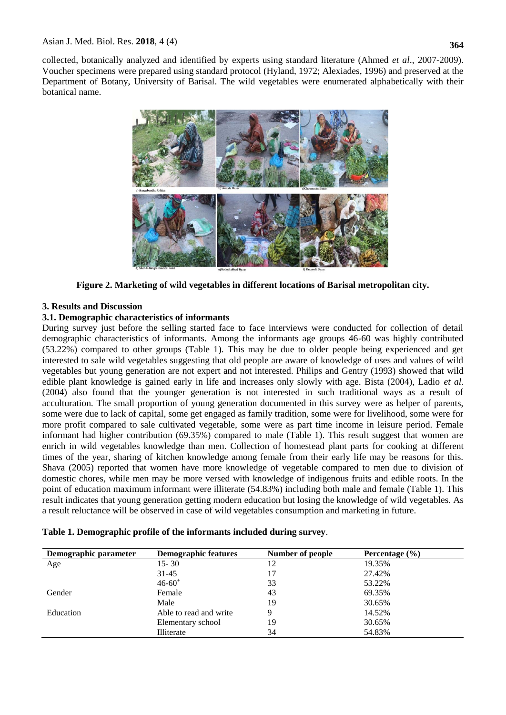collected, botanically analyzed and identified by experts using standard literature (Ahmed *et al*., 2007-2009). Voucher specimens were prepared using standard protocol (Hyland, 1972; Alexiades, 1996) and preserved at the Department of Botany, University of Barisal. The wild vegetables were enumerated alphabetically with their botanical name.



**Figure 2. Marketing of wild vegetables in different locations of Barisal metropolitan city.**

# **3. Results and Discussion**

# **3.1. Demographic characteristics of informants**

During survey just before the selling started face to face interviews were conducted for collection of detail demographic characteristics of informants. Among the informants age groups 46-60 was highly contributed (53.22%) compared to other groups (Table 1). This may be due to older people being experienced and get interested to sale wild vegetables suggesting that old people are aware of knowledge of uses and values of wild vegetables but young generation are not expert and not interested. Philips and Gentry (1993) showed that wild edible plant knowledge is gained early in life and increases only slowly with age. Bista (2004), Ladio *et al*. (2004) also found that the younger generation is not interested in such traditional ways as a result of acculturation. The small proportion of young generation documented in this survey were as helper of parents, some were due to lack of capital, some get engaged as family tradition, some were for livelihood, some were for more profit compared to sale cultivated vegetable, some were as part time income in leisure period. Female informant had higher contribution (69.35%) compared to male (Table 1). This result suggest that women are enrich in wild vegetables knowledge than men. Collection of homestead plant parts for cooking at different times of the year, sharing of kitchen knowledge among female from their early life may be reasons for this. Shava (2005) reported that women have more knowledge of vegetable compared to men due to division of domestic chores, while men may be more versed with knowledge of indigenous fruits and edible roots. In the point of education maximum informant were illiterate (54.83%) including both male and female (Table 1). This result indicates that young generation getting modern education but losing the knowledge of wild vegetables. As a result reluctance will be observed in case of wild vegetables consumption and marketing in future.

| Demographic parameter | <b>Demographic features</b> | Number of people | Percentage $(\% )$ |
|-----------------------|-----------------------------|------------------|--------------------|
| Age                   | 15-30                       | 12               | 19.35%             |
|                       | $31 - 45$                   | 17               | 27.42%             |
|                       | $46 - 60^{+}$               | 33               | 53.22%             |
| Gender                | Female                      | 43               | 69.35%             |
|                       | Male                        | 19               | 30.65%             |
| Education             | Able to read and write      | 9                | 14.52%             |
|                       | Elementary school           | 19               | 30.65%             |
|                       | Illiterate                  | 34               | 54.83%             |

**Table 1. Demographic profile of the informants included during survey**.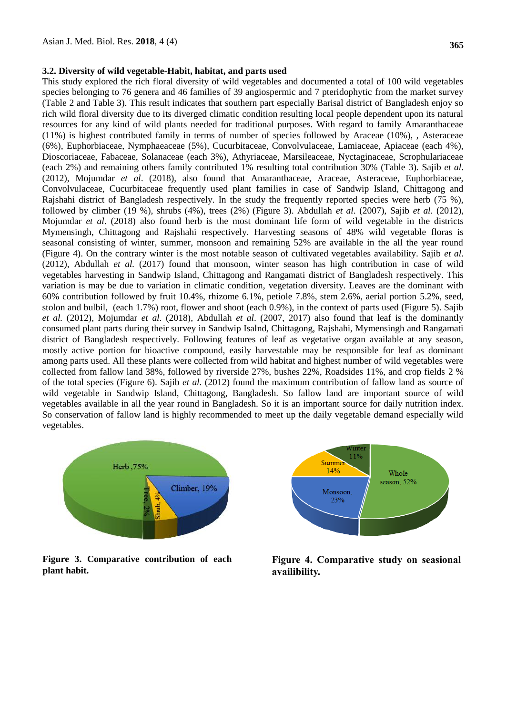#### **3.2. Diversity of wild vegetable-Habit, habitat, and parts used**

This study explored the rich floral diversity of wild vegetables and documented a total of 100 wild vegetables species belonging to 76 genera and 46 families of 39 angiospermic and 7 pteridophytic from the market survey (Table 2 and Table 3). This result indicates that southern part especially Barisal district of Bangladesh enjoy so rich wild floral diversity due to its diverged climatic condition resulting local people dependent upon its natural resources for any kind of wild plants needed for traditional purposes. With regard to family Amaranthaceae (11%) is highest contributed family in terms of number of species followed by Araceae (10%), , Asteraceae (6%), Euphorbiaceae, Nymphaeaceae (5%), Cucurbitaceae, Convolvulaceae, Lamiaceae, Apiaceae (each 4%), Dioscoriaceae, Fabaceae, Solanaceae (each 3%), Athyriaceae, Marsileaceae, Nyctaginaceae, Scrophulariaceae (each 2%) and remaining others family contributed 1% resulting total contribution 30% (Table 3). Sajib *et al*. (2012), Mojumdar *et al*. (2018), also found that Amaranthaceae, Araceae, Asteraceae, Euphorbiaceae, Convolvulaceae, Cucurbitaceae frequently used plant families in case of Sandwip Island, Chittagong and Rajshahi district of Bangladesh respectively. In the study the frequently reported species were herb (75 %), followed by climber (19 %), shrubs (4%), trees (2%) (Figure 3). Abdullah *et al*. (2007), Sajib *et al*. (2012), Mojumdar *et al*. (2018) also found herb is the most dominant life form of wild vegetable in the districts Mymensingh, Chittagong and Rajshahi respectively. Harvesting seasons of 48% wild vegetable floras is seasonal consisting of winter, summer, monsoon and remaining 52% are available in the all the year round (Figure 4). On the contrary winter is the most notable season of cultivated vegetables availability. Sajib *et al*. (2012), Abdullah *et al.* (2017) found that monsoon, winter season has high contribution in case of wild vegetables harvesting in Sandwip Island, Chittagong and Rangamati district of Bangladesh respectively. This variation is may be due to variation in climatic condition, vegetation diversity. Leaves are the dominant with 60% contribution followed by fruit 10.4%, rhizome 6.1%, petiole 7.8%, stem 2.6%, aerial portion 5.2%, seed, stolon and bulbil, (each 1.7%) root, flower and shoot (each 0.9%), in the context of parts used (Figure 5). Sajib *et al.* (2012), Mojumdar *et al*. (2018), Abdullah *et al*. (2007, 2017) also found that leaf is the dominantly consumed plant parts during their survey in Sandwip Isalnd, Chittagong, Rajshahi, Mymensingh and Rangamati district of Bangladesh respectively. Following features of leaf as vegetative organ available at any season, mostly active portion for bioactive compound, easily harvestable may be responsible for leaf as dominant among parts used. All these plants were collected from wild habitat and highest number of wild vegetables were collected from fallow land 38%, followed by riverside 27%, bushes 22%, Roadsides 11%, and crop fields 2 % of the total species (Figure 6). Sajib *et al.* (2012) found the maximum contribution of fallow land as source of wild vegetable in Sandwip Island, Chittagong, Bangladesh. So fallow land are important source of wild vegetables available in all the year round in Bangladesh. So it is an important source for daily nutrition index. So conservation of fallow land is highly recommended to meet up the daily vegetable demand especially wild vegetables.



**Figure 3. Comparative contribution of each plant habit.**



**Figure 4. Comparative study on seasional availibility.**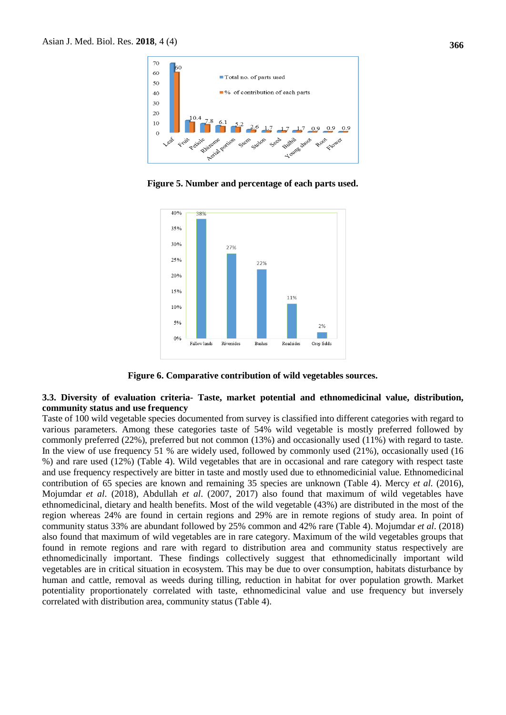

**Figure 5. Number and percentage of each parts used.**



**Figure 6. Comparative contribution of wild vegetables sources.**

## **3.3. Diversity of evaluation criteria- Taste, market potential and ethnomedicinal value, distribution, community status and use frequency**

Taste of 100 wild vegetable species documented from survey is classified into different categories with regard to various parameters. Among these categories taste of 54% wild vegetable is mostly preferred followed by commonly preferred (22%), preferred but not common (13%) and occasionally used (11%) with regard to taste. In the view of use frequency 51 % are widely used, followed by commonly used (21%), occasionally used (16 %) and rare used (12%) (Table 4). Wild vegetables that are in occasional and rare category with respect taste and use frequency respectively are bitter in taste and mostly used due to ethnomedicinial value. Ethnomedicinal contribution of 65 species are known and remaining 35 species are unknown (Table 4). Mercy *et al.* (2016), Mojumdar *et al*. (2018), Abdullah *et al*. (2007, 2017) also found that maximum of wild vegetables have ethnomedicinal, dietary and health benefits. Most of the wild vegetable (43%) are distributed in the most of the region whereas 24% are found in certain regions and 29% are in remote regions of study area. In point of community status 33% are abundant followed by 25% common and 42% rare (Table 4). Mojumdar *et al*. (2018) also found that maximum of wild vegetables are in rare category. Maximum of the wild vegetables groups that found in remote regions and rare with regard to distribution area and community status respectively are ethnomedicinally important. These findings collectively suggest that ethnomedicinally important wild vegetables are in critical situation in ecosystem. This may be due to over consumption, habitats disturbance by human and cattle, removal as weeds during tilling, reduction in habitat for over population growth. Market potentiality proportionately correlated with taste, ethnomedicinal value and use frequency but inversely correlated with distribution area, community status (Table 4).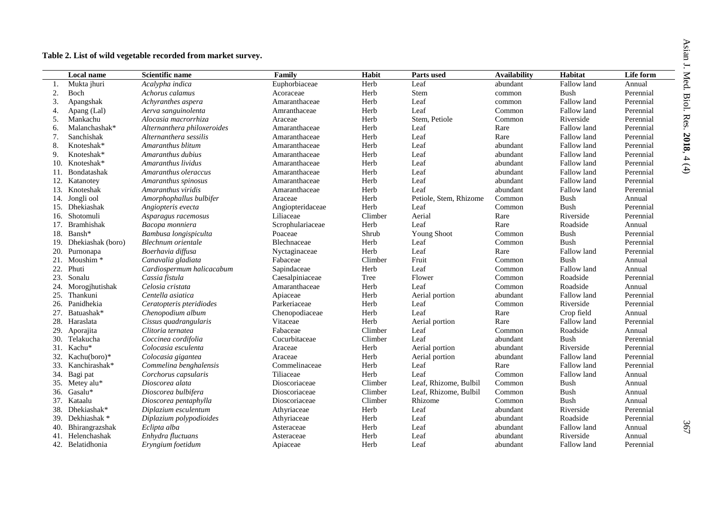|     | Local name              | Scientific name             | Family           | Habit       | Parts used             | <b>Availability</b> | Habitat     | Life form |
|-----|-------------------------|-----------------------------|------------------|-------------|------------------------|---------------------|-------------|-----------|
|     | Mukta jhuri             | Acalypha indica             | Euphorbiaceae    | <b>Herb</b> | Leaf                   | abundant            | Fallow land | Annual    |
| 2.  | Boch                    | Achorus calamus             | Acoraceae        | Herb        | Stem                   | common              | <b>Bush</b> | Perennial |
| 3.  | Apangshak               | Achyranthes aspera          | Amaranthaceae    | Herb        | Leaf                   | common              | Fallow land | Perennial |
| 4.  | Apang (Lal)             | Aerva sanguinolenta         | Amranthaceae     | Herb        | Leaf                   | Common              | Fallow land | Perennial |
| 5.  | Mankachu                | Alocasia macrorrhiza        | Araceae          | Herb        | Stem, Petiole          | Common              | Riverside   | Perennial |
| 6.  | Malanchashak*           | Alternanthera philoxeroides | Amaranthaceae    | Herb        | Leaf                   | Rare                | Fallow land | Perennial |
| 7.  | Sanchishak              | Alternanthera sessilis      | Amaranthaceae    | Herb        | Leaf                   | Rare                | Fallow land | Perennial |
| 8.  | Knoteshak*              | Amaranthus blitum           | Amaranthaceae    | Herb        | Leaf                   | abundant            | Fallow land | Perennial |
| 9.  | Knoteshak*              | Amaranthus dubius           | Amaranthaceae    | Herb        | Leaf                   | abundant            | Fallow land | Perennial |
| 10. | Knoteshak*              | Amaranthus lividus          | Amaranthaceae    | Herb        | Leaf                   | abundant            | Fallow land | Perennial |
| 11. | Bondatashak             | Amaranthus oleraccus        | Amaranthaceae    | Herb        | Leaf                   | abundant            | Fallow land | Perennial |
|     | 12. Katanotey           | Amaranthus spinosus         | Amaranthaceae    | Herb        | Leaf                   | abundant            | Fallow land | Perennial |
|     | 13. Knoteshak           | Amaranthus viridis          | Amaranthaceae    | Herb        | Leaf                   | abundant            | Fallow land | Perennial |
| 14. | Jongli ool              | Amorphophallus bulbifer     | Araceae          | Herb        | Petiole, Stem, Rhizome | Common              | Bush        | Annual    |
|     | 15. Dhekiashak          | Angiopteris evecta          | Angiopteridaceae | Herb        | Leaf                   | Common              | <b>Bush</b> | Perennial |
|     | 16. Shotomuli           | Asparagus racemosus         | Liliaceae        | Climber     | Aerial                 | Rare                | Riverside   | Perennial |
| 17. | Bramhishak              | Bacopa monniera             | Scrophulariaceae | Herb        | Leaf                   | Rare                | Roadside    | Annual    |
| 18. | Bansh*                  | Bambusa longispiculta       | Poaceae          | Shrub       | <b>Young Shoot</b>     | Common              | <b>Bush</b> | Perennial |
| 19. | Dhekiashak (boro)       | Blechnum orientale          | Blechnaceae      | Herb        | Leaf                   | Common              | <b>Bush</b> | Perennial |
| 20. | Purnonapa               | Boerhavia diffusa           | Nyctaginaceae    | Herb        | Leaf                   | Rare                | Fallow land | Perennial |
| 21. | Moushim <sup>*</sup>    | Canavalia gladiata          | Fabaceae         | Climber     | Fruit                  | Common              | <b>Bush</b> | Annual    |
|     | 22. Phuti               | Cardiospermum halicacabum   | Sapindaceae      | Herb        | Leaf                   | Common              | Fallow land | Annual    |
| 23. | Sonalu                  | Cassia fistula              | Caesalpiniaceae  | Tree        | Flower                 | Common              | Roadside    | Perennial |
| 24. | Morogjhutishak          | Celosia cristata            | Amaranthaceae    | Herb        | Leaf                   | Common              | Roadside    | Annual    |
| 25. | Thankuni                | Centella asiatica           | Apiaceae         | Herb        | Aerial portion         | abundant            | Fallow land | Perennial |
| 26. | Panidhekia              | Ceratopteris pteridiodes    | Parkeriaceae     | Herb        | Leaf                   | Common              | Riverside   | Perennial |
| 27. | Batuashak*              | Chenopodium album           | Chenopodiaceae   | Herb        | Leaf                   | Rare                | Crop field  | Annual    |
| 28. | Haraslata               | Cissus quadrangularis       | Vitaceae         | Herb        | Aerial portion         | Rare                | Fallow land | Perennial |
| 29. | Aporajita               | Clitoria ternatea           | Fabaceae         | Climber     | Leaf                   | Common              | Roadside    | Annual    |
|     | 30. Telakucha           | Coccinea cordifolia         | Cucurbitaceae    | Climber     | Leaf                   | abundant            | Bush        | Perennial |
| 31. | Kachu*                  | Colocasia esculenta         | Araceae          | Herb        | Aerial portion         | abundant            | Riverside   | Perennial |
| 32. | Kachu(boro)*            | Colocasia gigantea          | Araceae          | Herb        | Aerial portion         | abundant            | Fallow land | Perennial |
| 33. | Kanchirashak*           | Commelina benghalensis      | Commelinaceae    | Herb        | Leaf                   | Rare                | Fallow land | Perennial |
| 34. | Bagi pat                | Corchorus capsularis        | Tiliaceae        | Herb        | Leaf                   | Common              | Fallow land | Annual    |
|     | 35. Metey alu*          | Dioscorea alata             | Dioscoriaceae    | Climber     | Leaf, Rhizome, Bulbil  | Common              | <b>Bush</b> | Annual    |
| 36. | Gasalu*                 | Dioscorea bulbifera         | Dioscoriaceae    | Climber     | Leaf, Rhizome, Bulbil  | Common              | <b>Bush</b> | Annual    |
|     | 37. Kataalu             | Dioscorea pentaphylla       | Dioscoriaceae    | Climber     | Rhizome                | Common              | Bush        | Annual    |
| 38. | Dhekiashak*             | Diplazium esculentum        | Athyriaceae      | Herb        | Leaf                   | abundant            | Riverside   | Perennial |
| 39. | Dekhiashak <sup>*</sup> | Diplazium polypodioides     | Athyriaceae      | Herb        | Leaf                   | abundant            | Roadside    | Perennial |
| 40. | Bhirangrazshak          | Eclipta alba                | Asteraceae       | Herb        | Leaf                   | abundant            | Fallow land | Annual    |
| 41. | Helenchashak            | Enhydra fluctuans           | Asteraceae       | Herb        | Leaf                   | abundant            | Riverside   | Annual    |
|     | 42. Belatidhonia        | Eryngium foetidum           | Apiaceae         | Herb        | Leaf                   | abundant            | Fallow land | Perennial |

**Table 2. List of wild vegetable recorded from market survey.**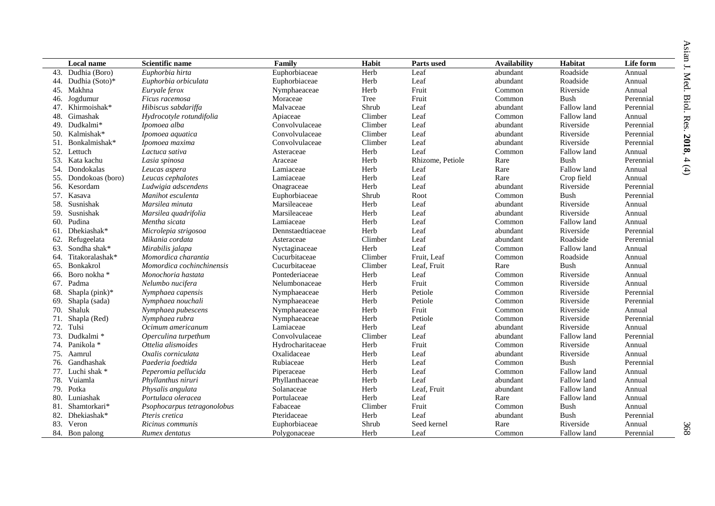|     | Local name       | <b>Scientific name</b>      | Family           | Habit   | Parts used       | <b>Availability</b> | Habitat     | Life form |
|-----|------------------|-----------------------------|------------------|---------|------------------|---------------------|-------------|-----------|
| 43. | Dudhia (Boro)    | Euphorbia hirta             | Euphorbiaceae    | Herb    | Leaf             | abundant            | Roadside    | Annual    |
| 44. | Dudhia (Soto)*   | Euphorbia orbiculata        | Euphorbiaceae    | Herb    | Leaf             | abundant            | Roadside    | Annual    |
| 45. | Makhna           | Euryale ferox               | Nymphaeaceae     | Herb    | Fruit            | Common              | Riverside   | Annual    |
| 46. | Jogdumur         | Ficus racemosa              | Moraceae         | Tree    | Fruit            | Common              | <b>Bush</b> | Perennial |
| 47. | Khirmoishak*     | Hibiscus sabdariffa         | Malvaceae        | Shrub   | Leaf             | abundant            | Fallow land | Perennial |
| 48. | Gimashak         | Hydrocotyle rotundifolia    | Apiaceae         | Climber | Leaf             | Common              | Fallow land | Annual    |
| 49. | Dudkalmi*        | Ipomoea alba                | Convolvulaceae   | Climber | Leaf             | abundant            | Riverside   | Perennial |
| 50. | Kalmishak*       | Ipomoea aquatica            | Convolvulaceae   | Climber | Leaf             | abundant            | Riverside   | Perennial |
| 51. | Bonkalmishak*    | Ipomoea maxima              | Convolvulaceae   | Climber | Leaf             | abundant            | Riverside   | Perennial |
| 52. | Lettuch          | Lactuca sativa              | Asteraceae       | Herb    | Leaf             | Common              | Fallow land | Annual    |
| 53. | Kata kachu       | Lasia spinosa               | Araceae          | Herb    | Rhizome, Petiole | Rare                | Bush        | Perennial |
| 54. | Dondokalas       | Leucas aspera               | Lamiaceae        | Herb    | Leaf             | Rare                | Fallow land | Annual    |
| 55. | Dondokoas (boro) | Leucas cephalotes           | Lamiaceae        | Herb    | Leaf             | Rare                | Crop field  | Annual    |
| 56. | Kesordam         | Ludwigia adscendens         | Onagraceae       | Herb    | Leaf             | abundant            | Riverside   | Perennial |
|     | 57. Kasava       | Manihot esculenta           | Euphorbiaceae    | Shrub   | Root             | Common              | <b>Bush</b> | Perennial |
| 58. | Susnishak        | Marsilea minuta             | Marsileaceae     | Herb    | Leaf             | abundant            | Riverside   | Annual    |
| 59. | Susnishak        | Marsilea quadrifolia        | Marsileaceae     | Herb    | Leaf             | abundant            | Riverside   | Annual    |
| 60. | Pudina           | Mentha sicata               | Lamiaceae        | Herb    | Leaf             | Common              | Fallow land | Annual    |
| 61. | Dhekiashak*      | Microlepia strigosoa        | Dennstaedtiaceae | Herb    | Leaf             | abundant            | Riverside   | Perennial |
| 62. | Refugeelata      | Mikania cordata             | Asteraceae       | Climber | Leaf             | abundant            | Roadside    | Perennial |
| 63. | Sondha shak*     | Mirabilis jalapa            | Nyctaginaceae    | Herb    | Leaf             | Common              | Fallow land | Annual    |
| 64. | Titakoralashak*  | Momordica charantia         | Cucurbitaceae    | Climber | Fruit. Leaf      | Common              | Roadside    | Annual    |
| 65. | Bonkakrol        | Momordica cochinchinensis   | Cucurbitaceae    | Climber | Leaf, Fruit      | Rare                | <b>Bush</b> | Annual    |
| 66. | Boro nokha *     | Monochoria hastata          | Pontederiaceae   | Herb    | Leaf             | Common              | Riverside   | Annual    |
| 67. | Padma            | Nelumbo nucifera            | Nelumbonaceae    | Herb    | Fruit            | Common              | Riverside   | Annual    |
| 68. | Shapla $(pink)*$ | Nymphaea capensis           | Nymphaeaceae     | Herb    | Petiole          | Common              | Riverside   | Perennial |
| 69. | Shapla (sada)    | Nymphaea nouchali           | Nymphaeaceae     | Herb    | Petiole          | Common              | Riverside   | Perennial |
| 70. | Shaluk           | Nymphaea pubescens          | Nymphaeaceae     | Herb    | Fruit            | Common              | Riverside   | Annual    |
| 71. | Shapla (Red)     | Nymphaea rubra              | Nymphaeaceae     | Herb    | Petiole          | Common              | Riverside   | Perennial |
| 72. | Tulsi            | Ocimum americanum           | Lamiaceae        | Herb    | Leaf             | abundant            | Riverside   | Annual    |
| 73. | Dudkalmi*        | Operculina turpethum        | Convolvulaceae   | Climber | Leaf             | abundant            | Fallow land | Perennial |
| 74. | Panikola *       | Ottelia alismoides          | Hydrocharitaceae | Herb    | Fruit            | Common              | Riverside   | Annual    |
| 75. | Aamrul           | Oxalis corniculata          | Oxalidaceae      | Herb    | Leaf             | abundant            | Riverside   | Annual    |
| 76. | Gandhashak       | Paederia foedtida           | Rubiaceae        | Herb    | Leaf             | Common              | <b>Bush</b> | Perennial |
|     | 77. Luchi shak * | Peperomia pellucida         | Piperaceae       | Herb    | Leaf             | Common              | Fallow land | Annual    |
|     | 78. Vuiamla      | Phyllanthus niruri          | Phyllanthaceae   | Herb    | Leaf             | abundant            | Fallow land | Annual    |
| 79. | Potka            | Physalis angulata           | Solanaceae       | Herb    | Leaf, Fruit      | abundant            | Fallow land | Annual    |
| 80. | Luniashak        | Portulaca oleracea          | Portulaceae      | Herb    | Leaf             | Rare                | Fallow land | Annual    |
| 81. | Shamtorkari*     | Psophocarpus tetragonolobus | Fabaceae         | Climber | Fruit            | Common              | <b>Bush</b> | Annual    |
| 82. | Dhekiashak*      | Pteris cretica              | Pteridaceae      | Herb    | Leaf             | abundant            | <b>Bush</b> | Perennial |
| 83. | Veron            | Ricinus communis            | Euphorbiaceae    | Shrub   | Seed kernel      | Rare                | Riverside   | Annual    |
|     | 84. Bon palong   | Rumex dentatus              | Polygonaceae     | Herb    | Leaf             | Common              | Fallow land | Perennial |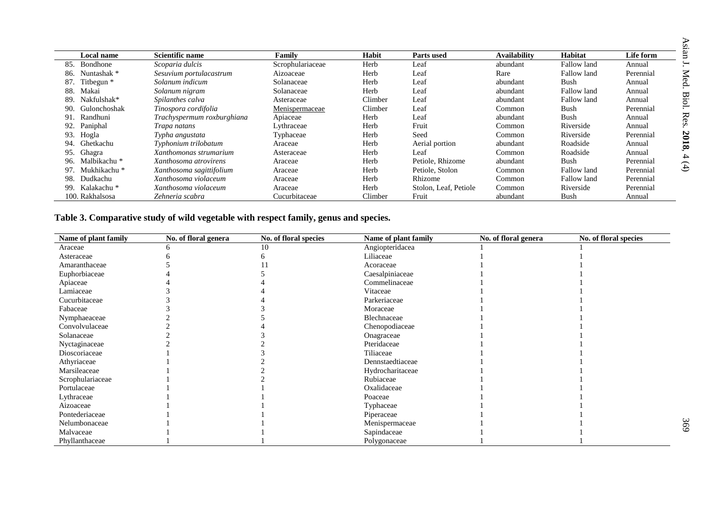| Local name                    | Scientific name            | Family           | Habit   | <b>Parts used</b>     | <b>Availability</b> | Habitat     | Life form |
|-------------------------------|----------------------------|------------------|---------|-----------------------|---------------------|-------------|-----------|
| Bondhone<br>85.               | Scoparia dulcis            | Scrophulariaceae | Herb    | Leaf                  | abundant            | Fallow land | Annual    |
| Nuntashak <sup>*</sup><br>86. | Sesuvium portulacastrum    | Aizoaceae        | Herb    | Leaf                  | Rare                | Fallow land | Perennial |
| Titbegun *<br>87.             | Solanum indicum            | Solanaceae       | Herb    | Leaf                  | abundant            | Bush        | Annual    |
| Makai<br>88.                  | Solanum nigram             | Solanaceae       | Herb    | Leaf                  | abundant            | Fallow land | Annual    |
| Nakfulshak*<br>-89.           | Spilanthes calva           | Asteraceae       | Climber | Leaf                  | abundant            | Fallow land | Annual    |
| Gulonchoshak<br>90.           | Tinospora cordifolia       | Menispermaceae   | Climber | Leaf                  | Common              | Bush        | Perennial |
| Randhuni<br>91.               | Trachyspermum roxburghiana | Apiaceae         | Herb    | Leaf                  | abundant            | Bush        | Annual    |
| Paniphal<br>92.               | Trapa natans               | Lythraceae       | Herb    | Fruit                 | Common              | Riverside   | Annual    |
| 93.<br>Hogla                  | Typha angustata            | Typhaceae        | Herb    | Seed                  | Common              | Riverside   | Perennial |
| Ghetkachu<br>94.              | Typhonium trilobatum       | Araceae          | Herb    | Aerial portion        | abundant            | Roadside    | Annual    |
| 95.<br>Ghagra                 | Xanthomonas strumarium     | Asteraceae       | Herb    | Leaf                  | Common              | Roadside    | Annual    |
| Malbikachu *<br>96.           | Xanthosoma atrovirens      | Araceae          | Herb    | Petiole, Rhizome      | abundant            | Bush        | Perennial |
| Mukhikachu *<br>97.           | Xanthosoma sagittifolium   | Araceae          | Herb    | Petiole, Stolon       | Common              | Fallow land | Perennial |
| Dudkachu<br>98.               | Xanthosoma violaceum       | Araceae          | Herb    | Rhizome               | Common              | Fallow land | Perennial |
| Kalakachu *<br>99.            | Xanthosoma violaceum       | Araceae          | Herb    | Stolon, Leaf, Petiole | Common              | Riverside   | Perennial |
| 100. Rakhalsosa               | Zehneria scabra            | Cucurbitaceae    | Climber | Fruit                 | abundant            | Bush        | Annual    |

# **Table 3. Comparative study of wild vegetable with respect family, genus and species.**

| Name of plant family | No. of floral genera | No. of floral species | Name of plant family | No. of floral genera | No. of floral species |
|----------------------|----------------------|-----------------------|----------------------|----------------------|-----------------------|
| Araceae              |                      | 10                    | Angiopteridacea      |                      |                       |
| Asteraceae           |                      |                       | Liliaceae            |                      |                       |
| Amaranthaceae        |                      |                       | Acoraceae            |                      |                       |
| Euphorbiaceae        |                      |                       | Caesalpiniaceae      |                      |                       |
| Apiaceae             |                      |                       | Commelinaceae        |                      |                       |
| Lamiaceae            |                      |                       | Vitaceae             |                      |                       |
| Cucurbitaceae        |                      |                       | Parkeriaceae         |                      |                       |
| Fabaceae             |                      |                       | Moraceae             |                      |                       |
| Nymphaeaceae         |                      |                       | Blechnaceae          |                      |                       |
| Convolvulaceae       |                      |                       | Chenopodiaceae       |                      |                       |
| Solanaceae           |                      |                       | Onagraceae           |                      |                       |
| Nyctaginaceae        |                      |                       | Pteridaceae          |                      |                       |
| Dioscoriaceae        |                      |                       | Tiliaceae            |                      |                       |
| Athyriaceae          |                      |                       | Dennstaedtiaceae     |                      |                       |
| Marsileaceae         |                      |                       | Hydrocharitaceae     |                      |                       |
| Scrophulariaceae     |                      |                       | Rubiaceae            |                      |                       |
| Portulaceae          |                      |                       | Oxalidaceae          |                      |                       |
| Lythraceae           |                      |                       | Poaceae              |                      |                       |
| Aizoaceae            |                      |                       | Typhaceae            |                      |                       |
| Pontederiaceae       |                      |                       | Piperaceae           |                      |                       |
| Nelumbonaceae        |                      |                       | Menispermaceae       |                      |                       |
| Malvaceae            |                      |                       | Sapindaceae          |                      |                       |
| Phyllanthaceae       |                      |                       | Polygonaceae         |                      |                       |

369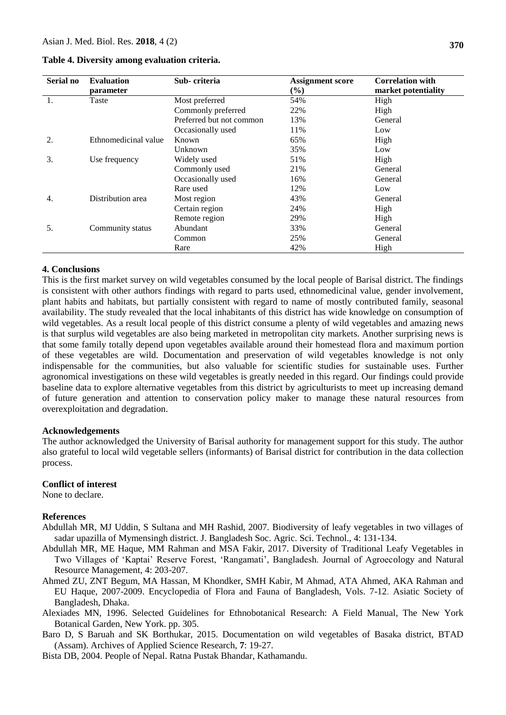| Serial no | <b>Evaluation</b>    | Sub-criteria             | <b>Assignment score</b> | <b>Correlation with</b> |
|-----------|----------------------|--------------------------|-------------------------|-------------------------|
|           | parameter            |                          | $(\%)$                  | market potentiality     |
| 1.        | Taste                | Most preferred           | 54%                     | High                    |
|           |                      | Commonly preferred       | 22%                     | High                    |
|           |                      | Preferred but not common | 13%                     | General                 |
|           |                      | Occasionally used        | 11%                     | Low                     |
| 2.        | Ethnomedicinal value | Known                    | 65%                     | High                    |
|           |                      | Unknown                  | 35%                     | Low                     |
| 3.        | Use frequency        | Widely used              | 51%                     | High                    |
|           |                      | Commonly used            | 21%                     | General                 |
|           |                      | Occasionally used        | 16%                     | General                 |
|           |                      | Rare used                | 12%                     | Low                     |
| 4.        | Distribution area    | Most region              | 43%                     | General                 |
|           |                      | Certain region           | 24%                     | High                    |
|           |                      | Remote region            | 29%                     | High                    |
| 5.        | Community status     | Abundant                 | 33%                     | General                 |
|           |                      | Common                   | 25%                     | General                 |
|           |                      | Rare                     | 42%                     | High                    |

### **Table 4. Diversity among evaluation criteria.**

## **4. Conclusions**

This is the first market survey on wild vegetables consumed by the local people of Barisal district. The findings is consistent with other authors findings with regard to parts used, ethnomedicinal value, gender involvement, plant habits and habitats, but partially consistent with regard to name of mostly contributed family, seasonal availability. The study revealed that the local inhabitants of this district has wide knowledge on consumption of wild vegetables. As a result local people of this district consume a plenty of wild vegetables and amazing news is that surplus wild vegetables are also being marketed in metropolitan city markets. Another surprising news is that some family totally depend upon vegetables available around their homestead flora and maximum portion of these vegetables are wild. Documentation and preservation of wild vegetables knowledge is not only indispensable for the communities, but also valuable for scientific studies for sustainable uses. Further agronomical investigations on these wild vegetables is greatly needed in this regard. Our findings could provide baseline data to explore alternative vegetables from this district by agriculturists to meet up increasing demand of future generation and attention to conservation policy maker to manage these natural resources from overexploitation and degradation.

### **Acknowledgements**

The author acknowledged the University of Barisal authority for management support for this study. The author also grateful to local wild vegetable sellers (informants) of Barisal district for contribution in the data collection process.

### **Conflict of interest**

None to declare.

## **References**

- Abdullah MR, MJ Uddin, S Sultana and MH Rashid, 2007. Biodiversity of leafy vegetables in two villages of sadar upazilla of Mymensingh district. J. Bangladesh Soc. Agric. Sci. Technol., 4: 131-134.
- Abdullah MR, ME Haque, MM Rahman and MSA Fakir, 2017. Diversity of Traditional Leafy Vegetables in Two Villages of 'Kaptai' Reserve Forest, 'Rangamati', Bangladesh. Journal of Agroecology and Natural Resource Management, 4: 203-207.
- Ahmed ZU, ZNT Begum, MA Hassan, M Khondker, SMH Kabir, M Ahmad, ATA Ahmed, AKA Rahman and EU Haque, 2007-2009. Encyclopedia of Flora and Fauna of Bangladesh, Vols. 7-12. Asiatic Society of Bangladesh, Dhaka.
- Alexiades MN, 1996. Selected Guidelines for Ethnobotanical Research: A Field Manual, The New York Botanical Garden, New York. pp. 305.
- Baro D, S Baruah and SK Borthukar, 2015. Documentation on wild vegetables of Basaka district, BTAD (Assam). Archives of Applied Science Research, **7**: 19-27.
- Bista DB, 2004. People of Nepal. Ratna Pustak Bhandar, Kathamandu.